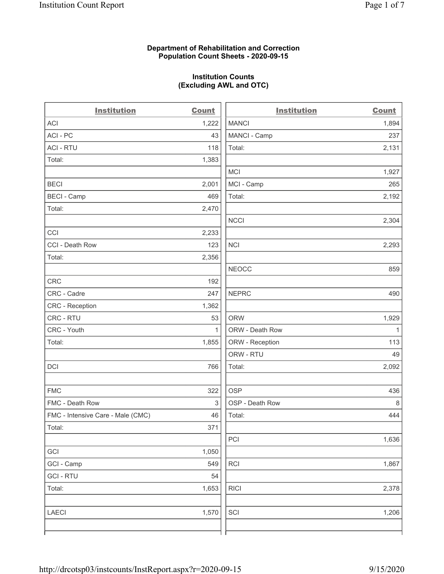### Department of Rehabilitation and Correction Population Count Sheets - 2020-09-15

### Institution Counts (Excluding AWL and OTC)

 $\overline{a}$ 

| <b>Institution</b>                | <b>Count</b> | <b>Institution</b> | <b>Count</b> |
|-----------------------------------|--------------|--------------------|--------------|
| ACI                               | 1,222        | <b>MANCI</b>       | 1,894        |
| ACI-PC                            | 43           | MANCI - Camp       | 237          |
| <b>ACI - RTU</b>                  | 118          | Total:             | 2,131        |
| Total:                            | 1,383        |                    |              |
|                                   |              | MCI                | 1,927        |
| <b>BECI</b>                       | 2,001        | MCI - Camp         | 265          |
| <b>BECI - Camp</b>                | 469          | Total:             | 2,192        |
| Total:                            | 2,470        |                    |              |
|                                   |              | <b>NCCI</b>        | 2,304        |
| CCI                               | 2,233        |                    |              |
| CCI - Death Row                   | 123          | <b>NCI</b>         | 2,293        |
| Total:                            | 2,356        |                    |              |
|                                   |              | <b>NEOCC</b>       | 859          |
| <b>CRC</b>                        | 192          |                    |              |
| CRC - Cadre                       | 247          | <b>NEPRC</b>       | 490          |
| CRC - Reception                   | 1,362        |                    |              |
| CRC - RTU                         | 53           | <b>ORW</b>         | 1,929        |
| CRC - Youth                       | $\mathbf{1}$ | ORW - Death Row    | $\mathbf{1}$ |
| Total:                            | 1,855        | ORW - Reception    | 113          |
|                                   |              | ORW - RTU          | 49           |
| DCI                               | 766          | Total:             | 2,092        |
| <b>FMC</b>                        | 322          | <b>OSP</b>         | 436          |
| FMC - Death Row                   | 3            | OSP - Death Row    | 8            |
| FMC - Intensive Care - Male (CMC) | 46           | Total:             | 444          |
| Total:                            | 371          |                    |              |
|                                   |              | PCI                | 1,636        |
| GCI                               | 1,050        |                    |              |
| GCI - Camp                        | 549          | <b>RCI</b>         | 1,867        |
| <b>GCI-RTU</b>                    | 54           |                    |              |
| Total:                            | 1,653        | <b>RICI</b>        | 2,378        |
| <b>LAECI</b>                      | 1,570        | SCI                | 1,206        |
|                                   |              |                    |              |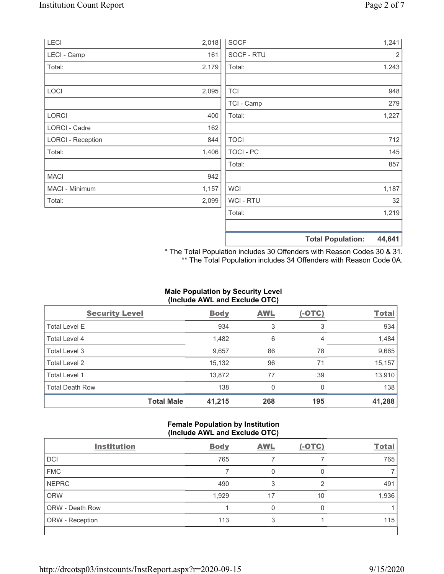| LECI                     | 2,018 | <b>SOCF</b>      | 1,241                              |
|--------------------------|-------|------------------|------------------------------------|
| LECI - Camp              | 161   | SOCF - RTU       | $\overline{2}$                     |
| Total:                   | 2,179 | Total:           | 1,243                              |
|                          |       |                  |                                    |
| LOCI                     | 2,095 | <b>TCI</b>       | 948                                |
|                          |       | TCI - Camp       | 279                                |
| LORCI                    | 400   | Total:           | 1,227                              |
| LORCI - Cadre            | 162   |                  |                                    |
| <b>LORCI - Reception</b> | 844   | <b>TOCI</b>      | 712                                |
| Total:                   | 1,406 | <b>TOCI - PC</b> | 145                                |
|                          |       | Total:           | 857                                |
| <b>MACI</b>              | 942   |                  |                                    |
| MACI - Minimum           | 1,157 | <b>WCI</b>       | 1,187                              |
| Total:                   | 2,099 | <b>WCI-RTU</b>   | 32                                 |
|                          |       | Total:           | 1,219                              |
|                          |       |                  |                                    |
|                          |       |                  | 44,641<br><b>Total Population:</b> |

\* The Total Population includes 30 Offenders with Reason Codes 30 & 31. \*\* The Total Population includes 34 Offenders with Reason Code 0A.

# Male Population by Security Level (Include AWL and Exclude OTC)

| <b>Security Level</b>  |                   | <b>Body</b> | <b>AWL</b> | $(-OTC)$ | <b>Total</b> |
|------------------------|-------------------|-------------|------------|----------|--------------|
| <b>Total Level E</b>   |                   | 934         | 3          | 3        | 934          |
| Total Level 4          |                   | 1,482       | 6          | 4        | 1,484        |
| Total Level 3          |                   | 9,657       | 86         | 78       | 9,665        |
| Total Level 2          |                   | 15,132      | 96         | 71       | 15,157       |
| Total Level 1          |                   | 13,872      | 77         | 39       | 13,910       |
| <b>Total Death Row</b> |                   | 138         | 0          | 0        | 138          |
|                        | <b>Total Male</b> | 41,215      | 268        | 195      | 41,288       |

### Female Population by Institution (Include AWL and Exclude OTC)

| <b>Institution</b> | <b>Body</b> | <b>AWL</b> | $(-OTC)$ | <b>Total</b> |
|--------------------|-------------|------------|----------|--------------|
| <b>DCI</b>         | 765         |            |          | 765          |
| <b>FMC</b>         |             |            |          |              |
| <b>NEPRC</b>       | 490         | 3          | ◠        | 491          |
| <b>ORW</b>         | 1,929       | 17         | 10       | 1,936        |
| ORW - Death Row    |             |            |          |              |
| ORW - Reception    | 113         |            |          | 115          |
|                    |             |            |          |              |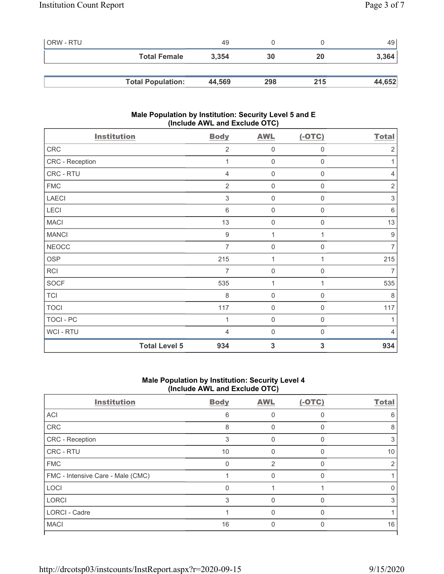| ORW - RTU |                          | 49     |     |     | 49     |
|-----------|--------------------------|--------|-----|-----|--------|
|           | <b>Total Female</b>      | 3,354  | 30  | 20  | 3,364  |
|           |                          |        |     |     |        |
|           | <b>Total Population:</b> | 44,569 | 298 | 215 | 44,652 |

### Male Population by Institution: Security Level 5 and E (Include AWL and Exclude OTC)

| <b>Institution</b>   | <b>Body</b>      | <b>AWL</b>          | $(-OTC)$         | <b>Total</b>              |
|----------------------|------------------|---------------------|------------------|---------------------------|
| CRC                  | $\overline{2}$   | $\mathbf 0$         | $\mathbf 0$      | $\overline{2}$            |
| CRC - Reception      | 1                | $\boldsymbol{0}$    | $\boldsymbol{0}$ | 1                         |
| CRC - RTU            | $\overline{4}$   | $\boldsymbol{0}$    | $\mathbf 0$      | $\overline{4}$            |
| ${\sf FMC}$          | $\overline{2}$   | $\boldsymbol{0}$    | 0                | $\sqrt{2}$                |
| <b>LAECI</b>         | $\sqrt{3}$       | $\boldsymbol{0}$    | 0                | $\ensuremath{\mathsf{3}}$ |
| LECI                 | $\,6$            | $\mathbf 0$         | 0                | $\,6\,$                   |
| <b>MACI</b>          | 13               | $\mathsf{O}\xspace$ | 0                | 13                        |
| <b>MANCI</b>         | $\boldsymbol{9}$ | 1                   |                  | $\boldsymbol{9}$          |
| <b>NEOCC</b>         | 7                | $\mathsf{O}\xspace$ | 0                | $\overline{7}$            |
| OSP                  | 215              | $\mathbf{1}$        | 1                | 215                       |
| RCI                  | $\overline{7}$   | $\boldsymbol{0}$    | $\mathbf 0$      | $\overline{7}$            |
| SOCF                 | 535              | 1                   | $\mathbf{1}$     | 535                       |
| <b>TCI</b>           | 8                | $\mathbf 0$         | $\mathbf 0$      | 8                         |
| <b>TOCI</b>          | 117              | $\boldsymbol{0}$    | 0                | 117                       |
| TOCI - PC            | 1                | $\boldsymbol{0}$    | $\mathbf 0$      | 1                         |
| WCI - RTU            | $\overline{4}$   | $\boldsymbol{0}$    | 0                | $\overline{4}$            |
| <b>Total Level 5</b> | 934              | $\mathbf{3}$        | 3                | 934                       |

### Male Population by Institution: Security Level 4 (Include AWL and Exclude OTC)

| <b>Institution</b>                | <b>Body</b> | <b>AWL</b> | $(-OTC)$ | <b>Total</b>     |
|-----------------------------------|-------------|------------|----------|------------------|
| <b>ACI</b>                        | 6           |            |          | 6                |
| CRC                               | 8           | $\Omega$   |          | 8                |
| <b>CRC</b> - Reception            | 3           | 0          |          | 3                |
| <b>CRC - RTU</b>                  | 10          |            |          | 10               |
| <b>FMC</b>                        | ∩           | 2          |          |                  |
| FMC - Intensive Care - Male (CMC) |             |            |          |                  |
| LOCI                              | O           |            |          | $\left( \right)$ |
| <b>LORCI</b>                      | 3           | O          |          | 3                |
| <b>LORCI - Cadre</b>              |             |            |          |                  |
| <b>MACI</b>                       | 16          |            |          | 16               |
|                                   |             |            |          |                  |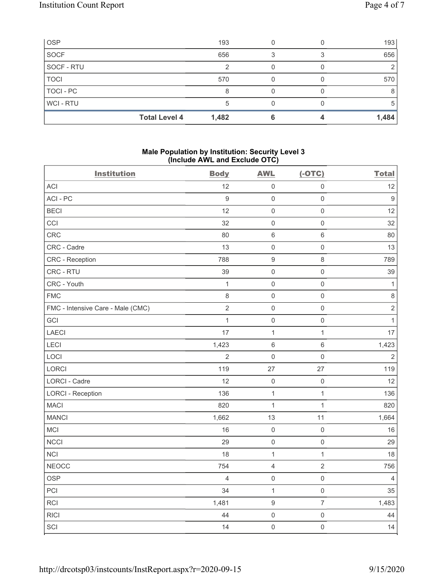| <b>OSP</b>     |                      | 193   |  | 193   |
|----------------|----------------------|-------|--|-------|
| SOCF           |                      | 656   |  | 656   |
| SOCF - RTU     |                      |       |  |       |
| <b>TOCI</b>    |                      | 570   |  | 570   |
| TOCI - PC      |                      |       |  | 8     |
| <b>WCI-RTU</b> |                      |       |  | b     |
|                | <b>Total Level 4</b> | 1,482 |  | 1,484 |

#### Male Population by Institution: Security Level 3 (Include AWL and Exclude OTC)

| <b>Institution</b>                | <b>Body</b>      | <b>AWL</b>          | $(-OTC)$            | <b>Total</b>     |
|-----------------------------------|------------------|---------------------|---------------------|------------------|
| ACI                               | 12               | $\mathsf 0$         | $\mathsf 0$         | 12               |
| ACI-PC                            | $\boldsymbol{9}$ | $\mathsf{O}\xspace$ | $\mathsf{O}\xspace$ | $\boldsymbol{9}$ |
| <b>BECI</b>                       | 12               | $\mathsf 0$         | $\mathsf{O}\xspace$ | 12               |
| CCI                               | 32               | $\mathsf 0$         | $\mathsf{O}\xspace$ | 32               |
| CRC                               | 80               | $\,6\,$             | $\,6\,$             | 80               |
| CRC - Cadre                       | 13               | $\mathbf 0$         | $\mathsf 0$         | 13               |
| CRC - Reception                   | 788              | $\boldsymbol{9}$    | $\,8\,$             | 789              |
| CRC - RTU                         | 39               | $\mathbf 0$         | $\mathsf{O}\xspace$ | 39               |
| CRC - Youth                       | $\mathbf{1}$     | $\mathbf 0$         | $\mathsf 0$         | $\mathbf{1}$     |
| <b>FMC</b>                        | 8                | $\mathsf 0$         | $\mathsf{O}\xspace$ | $\,8\,$          |
| FMC - Intensive Care - Male (CMC) | $\sqrt{2}$       | $\mathsf 0$         | $\mathsf 0$         | $\sqrt{2}$       |
| GCI                               | $\mathbf{1}$     | $\mathsf 0$         | $\mathsf{O}\xspace$ | $\mathbf{1}$     |
| LAECI                             | 17               | $\mathbf{1}$        | $\mathbf{1}$        | 17               |
| LECI                              | 1,423            | $\,6\,$             | $\,6\,$             | 1,423            |
| LOCI                              | 2                | $\mathsf{O}\xspace$ | $\mathsf{O}\xspace$ | 2                |
| LORCI                             | 119              | 27                  | 27                  | 119              |
| <b>LORCI - Cadre</b>              | 12               | $\mathsf 0$         | $\mathsf{O}\xspace$ | 12               |
| <b>LORCI - Reception</b>          | 136              | $\mathbf{1}$        | $\mathbf{1}$        | 136              |
| <b>MACI</b>                       | 820              | $\mathbf{1}$        | $\mathbf{1}$        | 820              |
| <b>MANCI</b>                      | 1,662            | 13                  | 11                  | 1,664            |
| MCI                               | 16               | $\mathsf 0$         | $\mathsf{O}\xspace$ | 16               |
| <b>NCCI</b>                       | 29               | $\mathsf 0$         | $\mathsf{O}\xspace$ | 29               |
| <b>NCI</b>                        | 18               | $\mathbf{1}$        | $\mathbf{1}$        | 18               |
| <b>NEOCC</b>                      | 754              | $\sqrt{4}$          | $\sqrt{2}$          | 756              |
| <b>OSP</b>                        | $\overline{4}$   | $\mathsf{O}\xspace$ | $\mathsf{O}\xspace$ | $\overline{4}$   |
| PCI                               | 34               | $\mathbf{1}$        | $\mathsf{O}\xspace$ | 35               |
| RCI                               | 1,481            | $\boldsymbol{9}$    | $\overline{7}$      | 1,483            |
| <b>RICI</b>                       | 44               | $\mathsf 0$         | $\mathsf 0$         | 44               |
| SCI                               | 14               | $\mathsf{O}\xspace$ | $\mathsf{O}\xspace$ | 14               |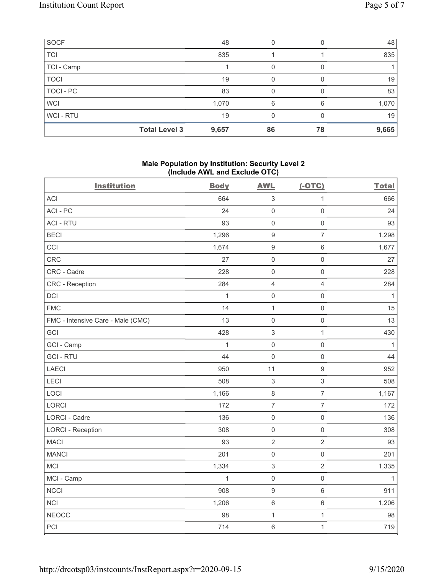| SOCF             |                      | 48    |    |    | 48    |
|------------------|----------------------|-------|----|----|-------|
| <b>TCI</b>       |                      | 835   |    |    | 835   |
| TCI - Camp       |                      |       | 0  |    |       |
| <b>TOCI</b>      |                      | 19    | 0  |    | 19    |
| <b>TOCI - PC</b> |                      | 83    |    |    | 83    |
| <b>WCI</b>       |                      | 1,070 | 6  | 6  | 1,070 |
| WCI - RTU        |                      | 19    |    |    | 19    |
|                  | <b>Total Level 3</b> | 9,657 | 86 | 78 | 9,665 |

## Male Population by Institution: Security Level 2 (Include AWL and Exclude OTC)

| <b>Institution</b>                | <b>Body</b>  | <b>AWL</b>                | $(-OTC)$            | <b>Total</b> |  |
|-----------------------------------|--------------|---------------------------|---------------------|--------------|--|
| ACI                               | 664          | $\ensuremath{\mathsf{3}}$ | $\mathbf{1}$        | 666          |  |
| ACI-PC                            | 24           | $\mathbf 0$               | $\mathsf 0$         | 24           |  |
| <b>ACI - RTU</b>                  | 93           | $\mathbf 0$               | $\mathsf{O}\xspace$ | 93           |  |
| <b>BECI</b>                       | 1,296        | $9$                       | $\overline{7}$      | 1,298        |  |
| CCI                               | 1,674        | $\boldsymbol{9}$          | $\,6\,$             | 1,677        |  |
| CRC                               | 27           | $\mathbf 0$               | $\mathsf 0$         | 27           |  |
| CRC - Cadre                       | 228          | $\mathbf 0$               | $\mathsf 0$         | 228          |  |
| <b>CRC</b> - Reception            | 284          | $\overline{4}$            | $\overline{4}$      | 284          |  |
| DCI                               | $\mathbf{1}$ | $\mathbf 0$               | $\mathsf 0$         | 1            |  |
| <b>FMC</b>                        | 14           | $\mathbf 1$               | $\mathsf{O}\xspace$ | 15           |  |
| FMC - Intensive Care - Male (CMC) | 13           | $\mathbf 0$               | $\mathsf 0$         | 13           |  |
| GCI                               | 428          | $\mathfrak{S}$            | $\mathbf 1$         | 430          |  |
| GCI - Camp                        | $\mathbf{1}$ | $\mathbf 0$               | $\mathsf 0$         | 1            |  |
| <b>GCI-RTU</b>                    | 44           | $\mathbf 0$               | $\mathsf 0$         | 44           |  |
| <b>LAECI</b>                      | 950          | 11                        | $\boldsymbol{9}$    | 952          |  |
| LECI                              | 508          | $\sqrt{3}$                | $\sqrt{3}$          | 508          |  |
| LOCI                              | 1,166        | $\,8\,$                   | $\overline{7}$      | 1,167        |  |
| LORCI                             | 172          | $\overline{7}$            | $\overline{7}$      | 172          |  |
| LORCI - Cadre                     | 136          | $\mathbf 0$               | $\mathsf{O}\xspace$ | 136          |  |
| <b>LORCI - Reception</b>          | 308          | $\mathbf 0$               | $\mathsf 0$         | 308          |  |
| <b>MACI</b>                       | 93           | $\sqrt{2}$                | $\sqrt{2}$          | 93           |  |
| <b>MANCI</b>                      | 201          | $\mathbf 0$               | $\mathsf{O}\xspace$ | 201          |  |
| MCI                               | 1,334        | $\ensuremath{\mathsf{3}}$ | $\sqrt{2}$          | 1,335        |  |
| MCI - Camp                        | $\mathbf{1}$ | $\mathbf 0$               | $\mathsf 0$         | $\mathbf{1}$ |  |
| <b>NCCI</b>                       | 908          | $\boldsymbol{9}$          | $\,6\,$             | 911          |  |
| <b>NCI</b>                        | 1,206        | $\,6\,$                   | $\,6\,$             | 1,206        |  |
| <b>NEOCC</b>                      | 98           | 1                         | $\mathbf 1$         | 98           |  |
| PCI                               | 714          | $6\,$                     | $\mathbf{1}$        | 719          |  |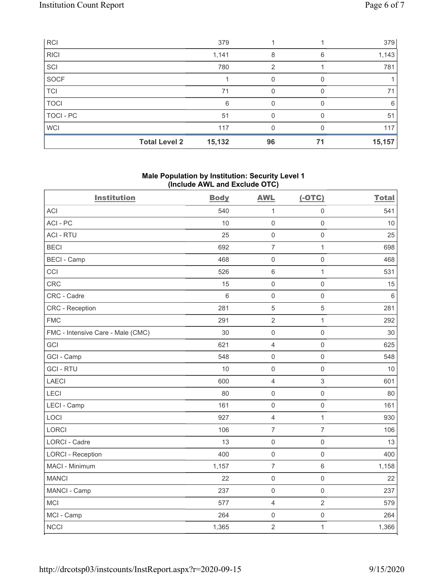| <b>RCI</b>  |                      | 379    |    |    | 379    |
|-------------|----------------------|--------|----|----|--------|
| <b>RICI</b> |                      | 1,141  | 8  | 6  | 1,143  |
| SCI         |                      | 780    | 2  |    | 781    |
| <b>SOCF</b> |                      |        |    |    |        |
| <b>TCI</b>  |                      | 71     |    |    | 71     |
| <b>TOCI</b> |                      | 6      | O  |    | 6      |
| TOCI - PC   |                      | 51     |    |    | 51     |
| <b>WCI</b>  |                      | 117    |    |    | 117    |
|             | <b>Total Level 2</b> | 15,132 | 96 | 71 | 15,157 |

### Male Population by Institution: Security Level 1 (Include AWL and Exclude OTC)

| <b>Institution</b>                | <b>Body</b> | <b>AWL</b>          | $(-OTC)$            | <b>Total</b> |
|-----------------------------------|-------------|---------------------|---------------------|--------------|
| <b>ACI</b>                        | 540         | $\mathbf{1}$        | $\mathsf{O}\xspace$ | 541          |
| ACI-PC                            | 10          | $\mathsf{O}\xspace$ | $\mathsf{O}\xspace$ | 10           |
| <b>ACI - RTU</b>                  | 25          | $\mathbf 0$         | $\mathsf{O}\xspace$ | 25           |
| <b>BECI</b>                       | 692         | $\overline{7}$      | $\mathbf{1}$        | 698          |
| <b>BECI - Camp</b>                | 468         | $\mathsf{O}\xspace$ | $\mathsf 0$         | 468          |
| CCI                               | 526         | $6\phantom{1}6$     | $\mathbf{1}$        | 531          |
| CRC                               | 15          | $\mathbf 0$         | $\mathsf{O}\xspace$ | 15           |
| CRC - Cadre                       | 6           | $\mathbf 0$         | $\mathbf 0$         | $\,6\,$      |
| CRC - Reception                   | 281         | 5                   | 5                   | 281          |
| <b>FMC</b>                        | 291         | $\overline{2}$      | $\mathbf{1}$        | 292          |
| FMC - Intensive Care - Male (CMC) | 30          | $\mathbf 0$         | $\mathsf 0$         | 30           |
| GCI                               | 621         | $\overline{4}$      | $\mathsf{O}\xspace$ | 625          |
| GCI - Camp                        | 548         | $\mathbf 0$         | $\mathsf 0$         | 548          |
| <b>GCI-RTU</b>                    | 10          | $\mathbf 0$         | $\mathbf 0$         | 10           |
| LAECI                             | 600         | $\overline{4}$      | $\sqrt{3}$          | 601          |
| LECI                              | 80          | $\mathbf 0$         | $\mathsf 0$         | 80           |
| LECI - Camp                       | 161         | $\mathbf 0$         | $\mathsf{O}\xspace$ | 161          |
| LOCI                              | 927         | $\overline{4}$      | $\mathbf{1}$        | 930          |
| <b>LORCI</b>                      | 106         | $\overline{7}$      | $\overline{7}$      | 106          |
| <b>LORCI - Cadre</b>              | 13          | $\mathbf 0$         | $\mathsf{O}\xspace$ | 13           |
| <b>LORCI - Reception</b>          | 400         | $\mathbf 0$         | $\mathsf 0$         | 400          |
| MACI - Minimum                    | 1,157       | $\overline{7}$      | $\,6\,$             | 1,158        |
| <b>MANCI</b>                      | 22          | $\mathbf 0$         | $\mathsf{O}\xspace$ | 22           |
| MANCI - Camp                      | 237         | $\mathbf 0$         | $\mathsf{O}\xspace$ | 237          |
| <b>MCI</b>                        | 577         | $\overline{4}$      | $\overline{2}$      | 579          |
| MCI - Camp                        | 264         | $\mathbf 0$         | $\mathsf{O}\xspace$ | 264          |
| <b>NCCI</b>                       | 1,365       | $\sqrt{2}$          | 1                   | 1,366        |